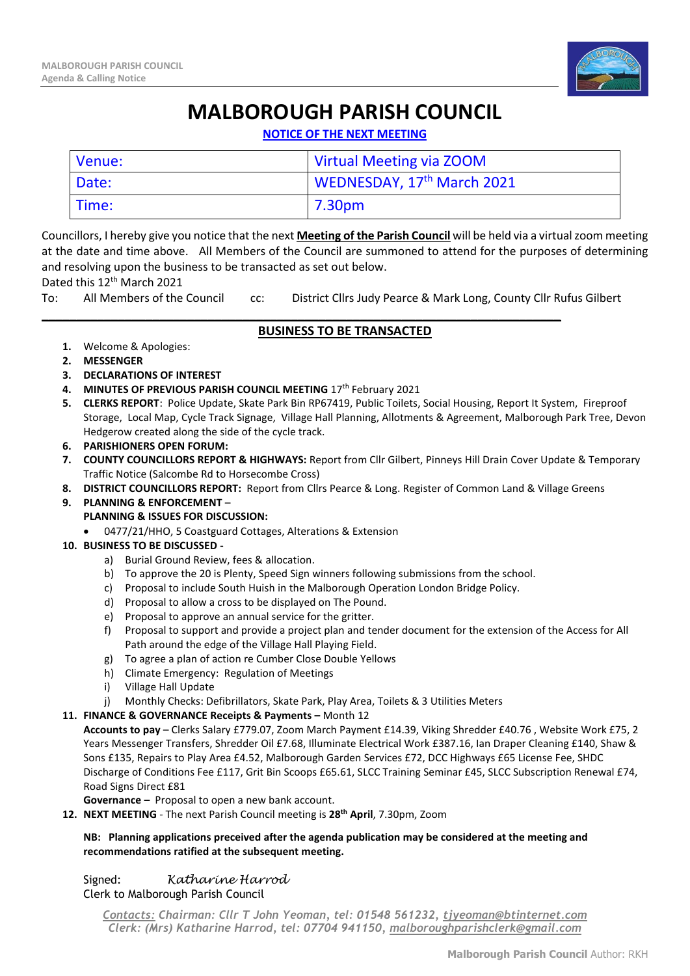

# **MALBOROUGH PARISH COUNCIL**

**NOTICE OF THE NEXT MEETING**

| Venue: | Virtual Meeting via ZOOM               |
|--------|----------------------------------------|
| Date:  | WEDNESDAY, 17 <sup>th</sup> March 2021 |
| Time:  | 7.30pm                                 |

Councillors, I hereby give you notice that the next **Meeting of the Parish Council** will be held via a virtual zoom meeting at the date and time above. All Members of the Council are summoned to attend for the purposes of determining and resolving upon the business to be transacted as set out below.

#### Dated this 12<sup>th</sup> March 2021

To: All Members of the Council cc: District Cllrs Judy Pearce & Mark Long, County Cllr Rufus Gilbert

\_\_\_\_\_\_\_\_\_\_\_\_\_\_\_\_\_\_\_\_\_\_\_\_\_\_\_\_\_\_\_\_\_\_\_\_\_\_\_\_\_\_\_\_\_\_\_\_\_\_\_\_\_\_\_\_\_\_\_\_\_\_\_\_\_\_\_\_\_\_\_\_\_\_\_

### **BUSINESS TO BE TRANSACTED**

- **1.** Welcome & Apologies:
- **2. MESSENGER**
- **3. DECLARATIONS OF INTEREST**
- **4. MINUTES OF PREVIOUS PARISH COUNCIL MEETING** 17th February 2021
- **5. CLERKS REPORT**: Police Update, Skate Park Bin RP67419, Public Toilets, Social Housing, Report It System, Fireproof Storage, Local Map, Cycle Track Signage, Village Hall Planning, Allotments & Agreement, Malborough Park Tree, Devon Hedgerow created along the side of the cycle track.
- **6. PARISHIONERS OPEN FORUM:**
- **7. COUNTY COUNCILLORS REPORT & HIGHWAYS:** Report from Cllr Gilbert, Pinneys Hill Drain Cover Update & Temporary Traffic Notice (Salcombe Rd to Horsecombe Cross)
- **8. DISTRICT COUNCILLORS REPORT:** Report from Cllrs Pearce & Long. Register of Common Land & Village Greens
- **9. PLANNING & ENFORCEMENT PLANNING & ISSUES FOR DISCUSSION:**
	- 0477/21/HHO, 5 Coastguard Cottages, Alterations & Extension

#### **10. BUSINESS TO BE DISCUSSED -**

- a) Burial Ground Review, fees & allocation.
- b) To approve the 20 is Plenty, Speed Sign winners following submissions from the school.
- c) Proposal to include South Huish in the Malborough Operation London Bridge Policy.
- d) Proposal to allow a cross to be displayed on The Pound.
- e) Proposal to approve an annual service for the gritter.
- f) Proposal to support and provide a project plan and tender document for the extension of the Access for All Path around the edge of the Village Hall Playing Field.
- g) To agree a plan of action re Cumber Close Double Yellows
- h) Climate Emergency: Regulation of Meetings
- i) Village Hall Update
- j) Monthly Checks: Defibrillators, Skate Park, Play Area, Toilets & 3 Utilities Meters

#### **11. FINANCE & GOVERNANCE Receipts & Payments –** Month 12

**Accounts to pay** – Clerks Salary £779.07, Zoom March Payment £14.39, Viking Shredder £40.76 , Website Work £75, 2 Years Messenger Transfers, Shredder Oil £7.68, Illuminate Electrical Work £387.16, Ian Draper Cleaning £140, Shaw & Sons £135, Repairs to Play Area £4.52, Malborough Garden Services £72, DCC Highways £65 License Fee, SHDC Discharge of Conditions Fee £117, Grit Bin Scoops £65.61, SLCC Training Seminar £45, SLCC Subscription Renewal £74, Road Signs Direct £81

**Governance –** Proposal to open a new bank account.

**12. NEXT MEETING** - The next Parish Council meeting is **28th April**, 7.30pm, Zoom

#### **NB: Planning applications preceived after the agenda publication may be considered at the meeting and recommendations ratified at the subsequent meeting.**

Signed: *Katharine Harrod* 

Clerk to Malborough Parish Council

*Contacts: Chairman: Cllr T John Yeoman, tel: 01548 561232, [tjyeoman@btinternet.com](mailto:tjyeoman@btinternet.com) Clerk: (Mrs) Katharine Harrod, tel: 07704 941150, [malboroughparishclerk@gmail.com](mailto:malboroughparishclerk@gmail.com)*